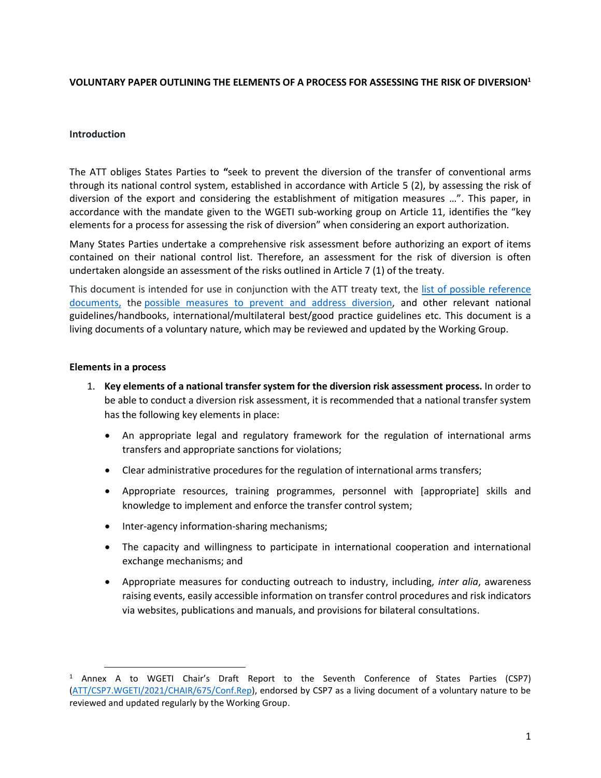## **VOLUNTARY PAPER OUTLINING THE ELEMENTS OF A PROCESS FOR ASSESSING THE RISK OF DIVERSION<sup>1</sup>**

## **Introduction**

The ATT obliges States Parties to **"**seek to prevent the diversion of the transfer of conventional arms through its national control system, established in accordance with Article 5 (2), by assessing the risk of diversion of the export and considering the establishment of mitigation measures …". This paper, in accordance with the mandate given to the WGETI sub-working group on Article 11, identifies the "key elements for a process for assessing the risk of diversion" when considering an export authorization.

Many States Parties undertake a comprehensive risk assessment before authorizing an export of items contained on their national control list. Therefore, an assessment for the risk of diversion is often undertaken alongside an assessment of the risks outlined in Article 7 (1) of the treaty.

This document is intended for use in conjunction with the ATT treaty text, the [list of possible reference](https://www.thearmstradetreaty.org/hyper-images/file/Article%2011%20-%20List%20of%20possible%20reference%20documents%20to%20be%20considered%20by%20States%20Parties%20to%20prevent%20and%20address%20diversion/Article%2011%20-%20List%20of%20possible%20reference%20documents%20to%20be%20considered%20by%20States%20Parties%20to%20prevent%20and%20address%20diversion.pdf)  [documents,](https://www.thearmstradetreaty.org/hyper-images/file/Article%2011%20-%20List%20of%20possible%20reference%20documents%20to%20be%20considered%20by%20States%20Parties%20to%20prevent%20and%20address%20diversion/Article%2011%20-%20List%20of%20possible%20reference%20documents%20to%20be%20considered%20by%20States%20Parties%20to%20prevent%20and%20address%20diversion.pdf) the [possible measures to prevent and address diversion,](https://www.thearmstradetreaty.org/hyper-images/file/Article%2011%20-%20Possible%20measures%20to%20prevent%20and%20address%20diversion/Article%2011%20-%20Possible%20measures%20to%20prevent%20and%20address%20diversion.pdf) and other relevant national guidelines/handbooks, international/multilateral best/good practice guidelines etc. This document is a living documents of a voluntary nature, which may be reviewed and updated by the Working Group.

## **Elements in a process**

 $\overline{\phantom{a}}$ 

- 1. **Key elements of a national transfer system for the diversion risk assessment process.** In order to be able to conduct a diversion risk assessment, it is recommended that a national transfer system has the following key elements in place:
	- An appropriate legal and regulatory framework for the regulation of international arms transfers and appropriate sanctions for violations;
	- Clear administrative procedures for the regulation of international arms transfers;
	- Appropriate resources, training programmes, personnel with [appropriate] skills and knowledge to implement and enforce the transfer control system;
	- Inter-agency information-sharing mechanisms;
	- The capacity and willingness to participate in international cooperation and international exchange mechanisms; and
	- Appropriate measures for conducting outreach to industry, including, *inter alia*, awareness raising events, easily accessible information on transfer control procedures and risk indicators via websites, publications and manuals, and provisions for bilateral consultations.

<sup>&</sup>lt;sup>1</sup> Annex A to WGETI Chair's Draft Report to the Seventh Conference of States Parties (CSP7) [\(ATT/CSP7.WGETI/2021/CHAIR/675/Conf.Rep\)](https://www.thearmstradetreaty.org/hyper-images/file/ATT_CSP7_WGETI%20Draft%20Report_with%20Annex_EN/ATT_CSP7_WGETI%20Draft%20Report_with%20Annex_EN.pdf), endorsed by CSP7 as a living document of a voluntary nature to be reviewed and updated regularly by the Working Group.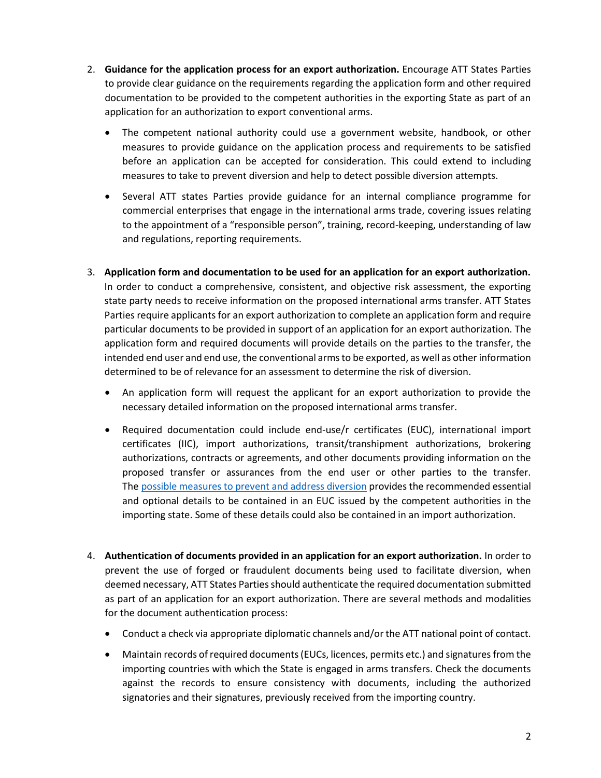- 2. **Guidance for the application process for an export authorization.** Encourage ATT States Parties to provide clear guidance on the requirements regarding the application form and other required documentation to be provided to the competent authorities in the exporting State as part of an application for an authorization to export conventional arms.
	- The competent national authority could use a government website, handbook, or other measures to provide guidance on the application process and requirements to be satisfied before an application can be accepted for consideration. This could extend to including measures to take to prevent diversion and help to detect possible diversion attempts.
	- Several ATT states Parties provide guidance for an internal compliance programme for commercial enterprises that engage in the international arms trade, covering issues relating to the appointment of a "responsible person", training, record-keeping, understanding of law and regulations, reporting requirements.
- 3. **Application form and documentation to be used for an application for an export authorization.** In order to conduct a comprehensive, consistent, and objective risk assessment, the exporting state party needs to receive information on the proposed international arms transfer. ATT States Parties require applicants for an export authorization to complete an application form and require particular documents to be provided in support of an application for an export authorization. The application form and required documents will provide details on the parties to the transfer, the intended end user and end use, the conventional arms to be exported, as well as other information determined to be of relevance for an assessment to determine the risk of diversion.
	- An application form will request the applicant for an export authorization to provide the necessary detailed information on the proposed international arms transfer.
	- Required documentation could include end-use/r certificates (EUC), international import certificates (IIC), import authorizations, transit/transhipment authorizations, brokering authorizations, contracts or agreements, and other documents providing information on the proposed transfer or assurances from the end user or other parties to the transfer. The [possible measures to prevent and address diversion](https://www.thearmstradetreaty.org/hyper-images/file/Article%2011%20-%20Possible%20measures%20to%20prevent%20and%20address%20diversion/Article%2011%20-%20Possible%20measures%20to%20prevent%20and%20address%20diversion.pdf) provides the recommended essential and optional details to be contained in an EUC issued by the competent authorities in the importing state. Some of these details could also be contained in an import authorization.
- 4. **Authentication of documents provided in an application for an export authorization.** In order to prevent the use of forged or fraudulent documents being used to facilitate diversion, when deemed necessary, ATT States Parties should authenticate the required documentation submitted as part of an application for an export authorization. There are several methods and modalities for the document authentication process:
	- Conduct a check via appropriate diplomatic channels and/or the ATT national point of contact.
	- Maintain records of required documents (EUCs, licences, permits etc.) and signatures from the importing countries with which the State is engaged in arms transfers. Check the documents against the records to ensure consistency with documents, including the authorized signatories and their signatures, previously received from the importing country.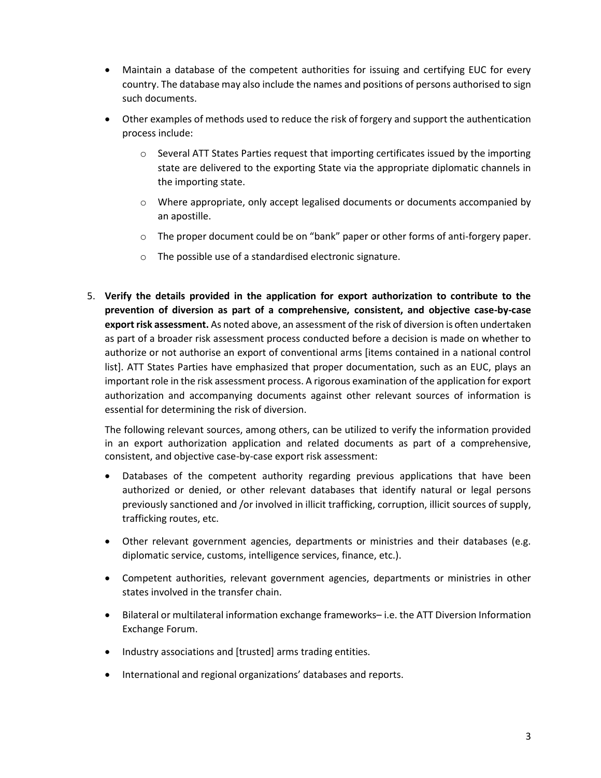- Maintain a database of the competent authorities for issuing and certifying EUC for every country. The database may also include the names and positions of persons authorised to sign such documents.
- Other examples of methods used to reduce the risk of forgery and support the authentication process include:
	- $\circ$  Several ATT States Parties request that importing certificates issued by the importing state are delivered to the exporting State via the appropriate diplomatic channels in the importing state.
	- o Where appropriate, only accept legalised documents or documents accompanied by an apostille.
	- o The proper document could be on "bank" paper or other forms of anti-forgery paper.
	- o The possible use of a standardised electronic signature.
- 5. **Verify the details provided in the application for export authorization to contribute to the prevention of diversion as part of a comprehensive, consistent, and objective case-by-case export risk assessment.** As noted above, an assessment of the risk of diversion is often undertaken as part of a broader risk assessment process conducted before a decision is made on whether to authorize or not authorise an export of conventional arms [items contained in a national control list]. ATT States Parties have emphasized that proper documentation, such as an EUC, plays an important role in the risk assessment process. A rigorous examination of the application for export authorization and accompanying documents against other relevant sources of information is essential for determining the risk of diversion.

The following relevant sources, among others, can be utilized to verify the information provided in an export authorization application and related documents as part of a comprehensive, consistent, and objective case-by-case export risk assessment:

- Databases of the competent authority regarding previous applications that have been authorized or denied, or other relevant databases that identify natural or legal persons previously sanctioned and /or involved in illicit trafficking, corruption, illicit sources of supply, trafficking routes, etc.
- Other relevant government agencies, departments or ministries and their databases (e.g. diplomatic service, customs, intelligence services, finance, etc.).
- Competent authorities, relevant government agencies, departments or ministries in other states involved in the transfer chain.
- Bilateral or multilateral information exchange frameworks– i.e. the ATT Diversion Information Exchange Forum.
- Industry associations and [trusted] arms trading entities.
- International and regional organizations' databases and reports.